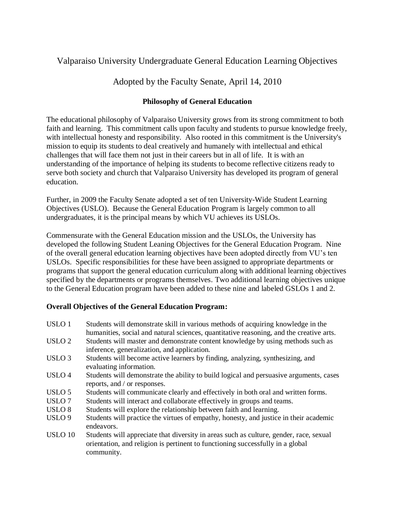# Valparaiso University Undergraduate General Education Learning Objectives

Adopted by the Faculty Senate, April 14, 2010

# **Philosophy of General Education**

The educational philosophy of Valparaiso University grows from its strong commitment to both faith and learning. This commitment calls upon faculty and students to pursue knowledge freely, with intellectual honesty and responsibility. Also rooted in this commitment is the University's mission to equip its students to deal creatively and humanely with intellectual and ethical challenges that will face them not just in their careers but in all of life. It is with an understanding of the importance of helping its students to become reflective citizens ready to serve both society and church that Valparaiso University has developed its program of general education.

Further, in 2009 the Faculty Senate adopted a set of ten University-Wide Student Learning Objectives (USLO). Because the General Education Program is largely common to all undergraduates, it is the principal means by which VU achieves its USLOs.

Commensurate with the General Education mission and the USLOs, the University has developed the following Student Leaning Objectives for the General Education Program. Nine of the overall general education learning objectives have been adopted directly from VU's ten USLOs. Specific responsibilities for these have been assigned to appropriate departments or programs that support the general education curriculum along with additional learning objectives specified by the departments or programs themselves. Two additional learning objectives unique to the General Education program have been added to these nine and labeled GSLOs 1 and 2.

# **Overall Objectives of the General Education Program:**

| USLO <sub>1</sub> | Students will demonstrate skill in various methods of acquiring knowledge in the<br>humanities, social and natural sciences, quantitative reasoning, and the creative arts.            |
|-------------------|----------------------------------------------------------------------------------------------------------------------------------------------------------------------------------------|
| USLO <sub>2</sub> | Students will master and demonstrate content knowledge by using methods such as<br>inference, generalization, and application.                                                         |
| USLO <sub>3</sub> | Students will become active learners by finding, analyzing, synthesizing, and<br>evaluating information.                                                                               |
| USLO <sub>4</sub> | Students will demonstrate the ability to build logical and persuasive arguments, cases<br>reports, and / or responses.                                                                 |
| USLO <sub>5</sub> | Students will communicate clearly and effectively in both oral and written forms.                                                                                                      |
| USLO <sub>7</sub> | Students will interact and collaborate effectively in groups and teams.                                                                                                                |
| USLO <sub>8</sub> | Students will explore the relationship between faith and learning.                                                                                                                     |
| USLO <sub>9</sub> | Students will practice the virtues of empathy, honesty, and justice in their academic<br>endeavors.                                                                                    |
| <b>USLO 10</b>    | Students will appreciate that diversity in areas such as culture, gender, race, sexual<br>orientation, and religion is pertinent to functioning successfully in a global<br>community. |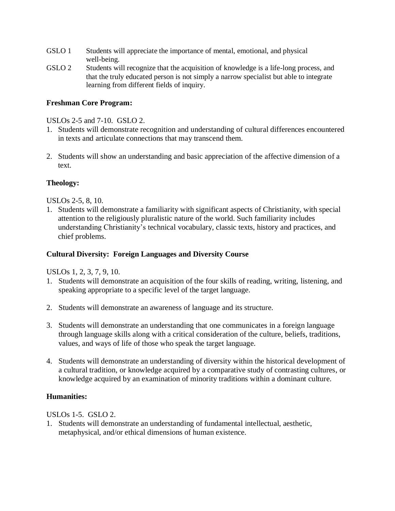- GSLO 1 Students will appreciate the importance of mental, emotional, and physical well-being.
- GSLO 2 Students will recognize that the acquisition of knowledge is a life-long process, and that the truly educated person is not simply a narrow specialist but able to integrate learning from different fields of inquiry.

# **Freshman Core Program:**

USLOs 2-5 and 7-10. GSLO 2.

- 1. Students will demonstrate recognition and understanding of cultural differences encountered in texts and articulate connections that may transcend them.
- 2. Students will show an understanding and basic appreciation of the affective dimension of a text.

# **Theology:**

USLOs 2-5, 8, 10.

1. Students will demonstrate a familiarity with significant aspects of Christianity, with special attention to the religiously pluralistic nature of the world. Such familiarity includes understanding Christianity's technical vocabulary, classic texts, history and practices, and chief problems.

## **Cultural Diversity: Foreign Languages and Diversity Course**

USLOs 1, 2, 3, 7, 9, 10.

- 1. Students will demonstrate an acquisition of the four skills of reading, writing, listening, and speaking appropriate to a specific level of the target language.
- 2. Students will demonstrate an awareness of language and its structure.
- 3. Students will demonstrate an understanding that one communicates in a foreign language through language skills along with a critical consideration of the culture, beliefs, traditions, values, and ways of life of those who speak the target language.
- 4. Students will demonstrate an understanding of diversity within the historical development of a cultural tradition, or knowledge acquired by a comparative study of contrasting cultures, or knowledge acquired by an examination of minority traditions within a dominant culture.

#### **Humanities:**

USLOs 1-5. GSLO 2.

1. Students will demonstrate an understanding of fundamental intellectual, aesthetic, metaphysical, and/or ethical dimensions of human existence.